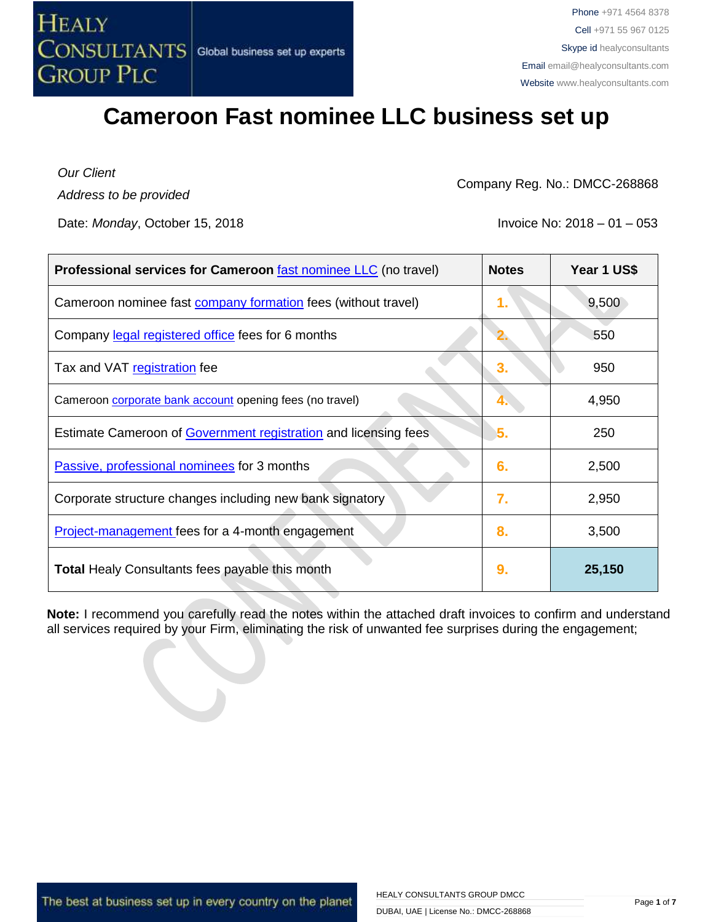

*Our Client Address to be provided*

Company Reg. No.: DMCC-268868

Date: *Monday*, October 15, 2018 **Invoice No: 2018** - 01 – 053

| <b>Professional services for Cameroon fast nominee LLC</b> (no travel) | <b>Notes</b> | Year 1 US\$ |
|------------------------------------------------------------------------|--------------|-------------|
| Cameroon nominee fast company formation fees (without travel)          | 1.           | 9,500       |
| Company legal registered office fees for 6 months                      |              | 550         |
| Tax and VAT registration fee                                           | 3.           | 950         |
| Cameroon <b>corporate bank account</b> opening fees (no travel)        |              | 4,950       |
| Estimate Cameroon of Government registration and licensing fees        | 5.           | 250         |
| Passive, professional nominees for 3 months                            | 6.           | 2,500       |
| Corporate structure changes including new bank signatory               | 7.           | 2,950       |
| <b>Project-management</b> fees for a 4-month engagement                | 8.           | 3,500       |
| <b>Total Healy Consultants fees payable this month</b>                 | 9.           | 25,150      |

**Note:** I recommend you carefully read the notes within the attached draft invoices to confirm and understand all services required by your Firm, eliminating the risk of unwanted fee surprises during the engagement;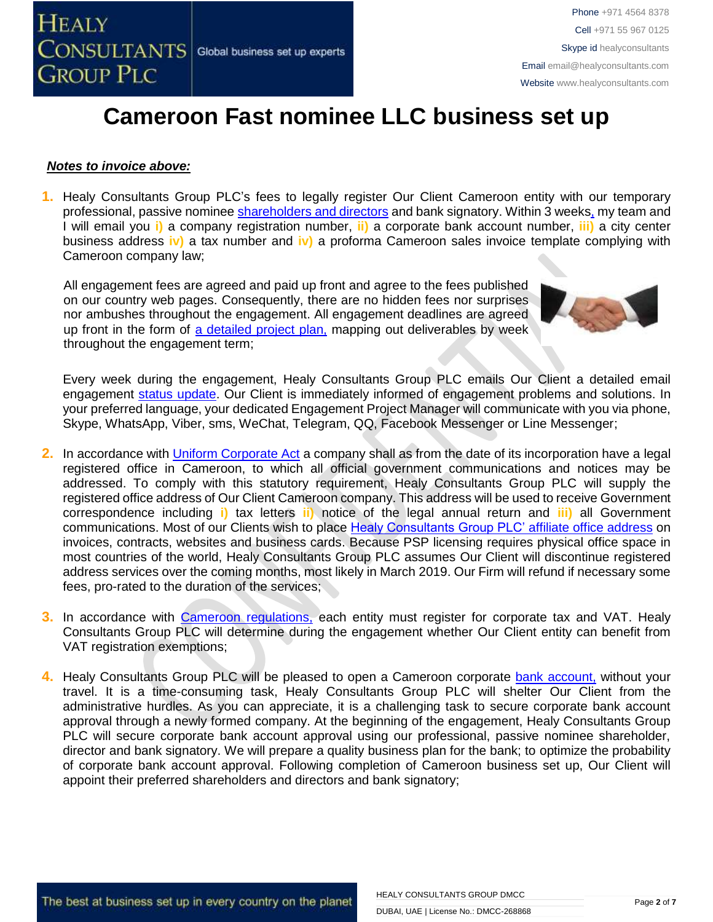

#### *Notes to invoice above:*

**1.** Healy Consultants Group PLC's fees to legally register Our Client Cameroon entity with our temporary professional, passive nominee [shareholders and directors](http://www.healyconsultants.com/corporate-advisory-services/nominee-shareholders-directors/) and bank signatory. Within 3 weeks, my team and I will email you **i)** a company registration number, **ii)** a corporate bank account number, **iii)** a city center business address **iv)** a tax number and **iv)** a proforma Cameroon sales invoice template complying with Cameroon company law;

All engagement fees are agreed and paid up front and agree to the fees published on our country web pages. Consequently, there are no hidden fees nor surprises nor ambushes throughout the engagement. All engagement deadlines are agreed up front in the form of [a detailed project plan,](http://www.healyconsultants.com/example-detailed-project-plan/) mapping out deliverables by week throughout the engagement term;



Every week during the engagement, Healy Consultants Group PLC emails Our Client a detailed email engagement [status update.](http://www.healyconsultants.com/index-important-links/weekly-engagement-status-email/) Our Client is immediately informed of engagement problems and solutions. In your preferred language, your dedicated Engagement Project Manager will communicate with you via phone, Skype, WhatsApp, Viber, sms, WeChat, Telegram, QQ, Facebook Messenger or Line Messenger;

- **2.** In accordance with [Uniform Corporate Act](https://www.droit-afrique.com/uploads/OHADA-Uniform-Act-1997-commercial-companies.pdf) a company shall as from the date of its incorporation have a legal registered office in Cameroon, to which all official government communications and notices may be addressed. To comply with this statutory requirement, Healy Consultants Group PLC will supply the registered office address of Our Client Cameroon company. This address will be used to receive Government correspondence including **i)** tax letters **ii)** notice of the legal annual return and **iii)** all Government communications. Most of our Clients wish to place [Healy Consultants Group PLC' affiliate office address](http://www.healyconsultants.com/corporate-outsourcing-services/company-secretary-and-legal-registered-office/) on invoices, contracts, websites and business cards. Because PSP licensing requires physical office space in most countries of the world, Healy Consultants Group PLC assumes Our Client will discontinue registered address services over the coming months, most likely in March 2019. Our Firm will refund if necessary some fees, pro-rated to the duration of the services;
- **3.** In accordance with Cameroon [regulations,](https://www.droit-afrique.com/uploads/OHADA-Uniform-Act-1997-commercial-companies.pdf) each entity must register for corporate tax and VAT. Healy Consultants Group PLC will determine during the engagement whether Our Client entity can benefit from VAT registration exemptions;
- 4. Healy Consultants Group PLC will be pleased to open a Cameroon corporate [bank account,](http://www.healyconsultants.com/vietnam-company-registration/formation-support-services/#banking) without your travel. It is a time-consuming task, Healy Consultants Group PLC will shelter Our Client from the administrative hurdles. As you can appreciate, it is a challenging task to secure corporate bank account approval through a newly formed company. At the beginning of the engagement, Healy Consultants Group PLC will secure corporate bank account approval using our professional, passive nominee shareholder, director and bank signatory. We will prepare a quality business plan for the bank; to optimize the probability of corporate bank account approval. Following completion of Cameroon business set up, Our Client will appoint their preferred shareholders and directors and bank signatory;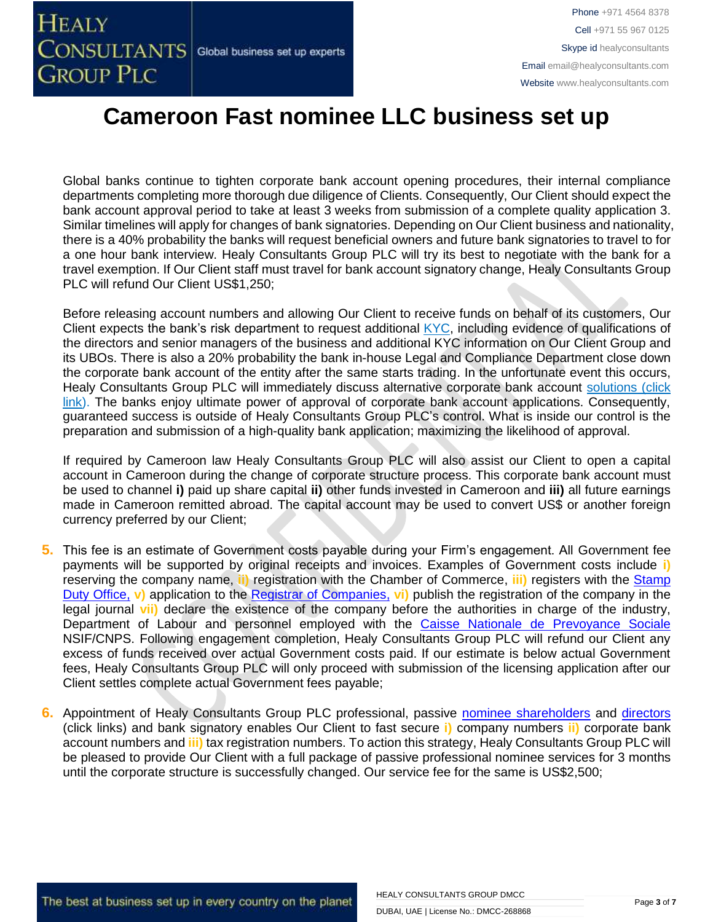Global banks continue to tighten corporate bank account opening procedures, their internal compliance departments completing more thorough due diligence of Clients. Consequently, Our Client should expect the bank account approval period to take at least 3 weeks from submission of a complete quality application 3. Similar timelines will apply for changes of bank signatories. Depending on Our Client business and nationality, there is a 40% probability the banks will request beneficial owners and future bank signatories to travel to for a one hour bank interview. Healy Consultants Group PLC will try its best to negotiate with the bank for a travel exemption. If Our Client staff must travel for bank account signatory change, Healy Consultants Group PLC will refund Our Client US\$1,250;

Before releasing account numbers and allowing Our Client to receive funds on behalf of its customers, Our Client expects the bank's risk department to request additional [KYC,](http://www.healyconsultants.com/due-diligence/) including evidence of qualifications of the directors and senior managers of the business and additional KYC information on Our Client Group and its UBOs. There is also a 20% probability the bank in-house Legal and Compliance Department close down the corporate bank account of the entity after the same starts trading. In the unfortunate event this occurs, Healy Consultants Group PLC will immediately discuss alternative corporate bank account [solutions \(click](http://www.healyconsultants.com/global-corporate-banking-for-resident-company/)  [link\)](http://www.healyconsultants.com/global-corporate-banking-for-resident-company/). The banks enjoy ultimate power of approval of corporate bank account applications. Consequently, guaranteed success is outside of Healy Consultants Group PLC's control. What is inside our control is the preparation and submission of a high-quality bank application; maximizing the likelihood of approval.

If required by Cameroon law Healy Consultants Group PLC will also assist our Client to open a capital account in Cameroon during the change of corporate structure process. This corporate bank account must be used to channel **i)** paid up share capital **ii)** other funds invested in Cameroon and **iii)** all future earnings made in Cameroon remitted abroad. The capital account may be used to convert US\$ or another foreign currency preferred by our Client;

- **5.** This fee is an estimate of Government costs payable during your Firm's engagement. All Government fee payments will be supported by original receipts and invoices. Examples of Government costs include **i)** reserving the company name, **ii)** registration with the Chamber of Commerce, **iii)** registers with the [Stamp](http://www.impots.cm/?hl=en_US)  [Duty Office,](http://www.impots.cm/?hl=en_US) **v)** application to the [Registrar of Companies,](http://www.cfce.cm/) **vi)** publish the registration of the company in the legal journal **vii)** declare the existence of the company before the authorities in charge of the industry, Department of Labour and personnel employed with the [Caisse Nationale de Prevoyance Sociale](http://www.cnps.cm/) NSIF/CNPS. Following engagement completion, Healy Consultants Group PLC will refund our Client any excess of funds received over actual Government costs paid. If our estimate is below actual Government fees, Healy Consultants Group PLC will only proceed with submission of the licensing application after our Client settles complete actual Government fees payable;
- **6.** Appointment of Healy Consultants Group PLC professional, passive [nominee shareholders](http://www.healyconsultants.com/corporate-advisory-services/nominee-shareholders-directors/national-shareholder-services/) and [directors](http://www.healyconsultants.com/corporate-advisory-services/nominee-shareholders-directors/resident-director-services/) (click links) and bank signatory enables Our Client to fast secure **i)** company numbers **ii)** corporate bank account numbers and **iii)** tax registration numbers. To action this strategy, Healy Consultants Group PLC will be pleased to provide Our Client with a full package of passive professional nominee services for 3 months until the corporate structure is successfully changed. Our service fee for the same is US\$2,500;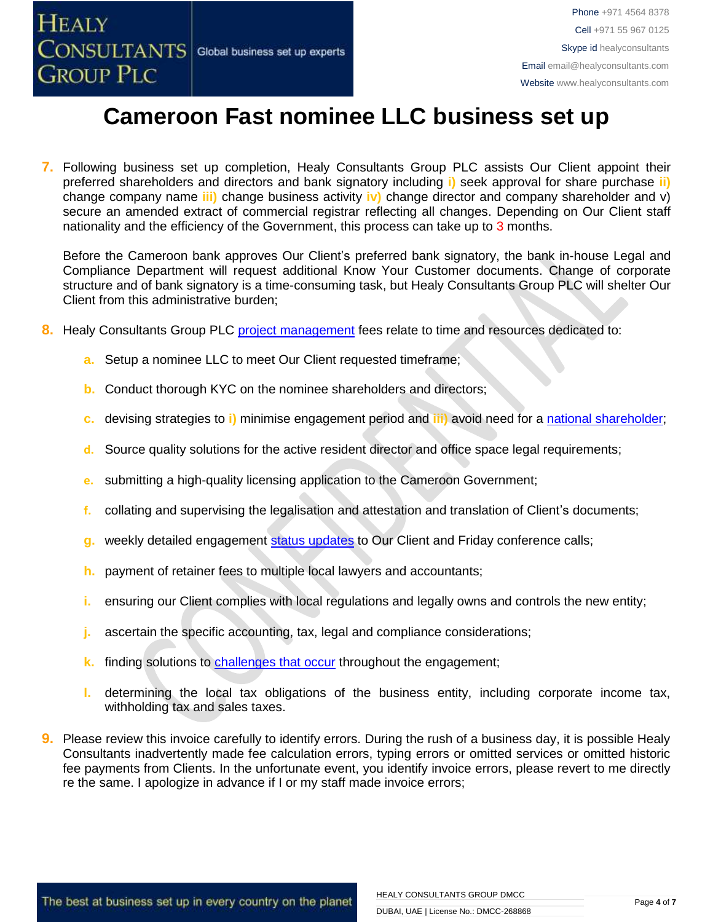

**7.** Following business set up completion, Healy Consultants Group PLC assists Our Client appoint their preferred shareholders and directors and bank signatory including **i)** seek approval for share purchase **ii)** change company name **iii)** change business activity **iv)** change director and company shareholder and v) secure an amended extract of commercial registrar reflecting all changes. Depending on Our Client staff nationality and the efficiency of the Government, this process can take up to 3 months.

Before the Cameroon bank approves Our Client's preferred bank signatory, the bank in-house Legal and Compliance Department will request additional Know Your Customer documents. Change of corporate structure and of bank signatory is a time-consuming task, but Healy Consultants Group PLC will shelter Our Client from this administrative burden;

- **8.** Healy Consultants Group PLC [project management](http://www.healyconsultants.com/company-formation/fees/project-management/) fees relate to time and resources dedicated to:
	- **a.** Setup a nominee LLC to meet Our Client requested timeframe;
	- **b.** Conduct thorough KYC on the nominee shareholders and directors;
	- **c.** devising strategies to **i)** minimise engagement period and **iii)** avoid need for a national [shareholder;](http://www.healyconsultants.com/corporate-advisory-services/nominee-shareholders-directors/national-shareholder-services/)
	- **d.** Source quality solutions for the active resident director and office space legal requirements;
	- **e.** submitting a high-quality licensing application to the Cameroon Government;
	- **f.** collating and supervising the legalisation and attestation and translation of Client's documents;
	- **g.** weekly detailed engagement [status updates](http://www.healyconsultants.com/index-important-links/weekly-engagement-status-email/) to Our Client and Friday conference calls;
	- **h.** payment of retainer fees to multiple local lawyers and accountants;
	- **i.** ensuring our Client complies with local regulations and legally owns and controls the new entity;
	- ascertain the specific accounting, tax, legal and compliance considerations;
	- **k.** finding solutions to [challenges that occur](http://www.healyconsultants.com/engagement-project-management/) throughout the engagement;
	- **l.** determining the local tax obligations of the business entity, including corporate income tax, withholding tax and sales taxes.
- **9.** Please review this invoice carefully to identify errors. During the rush of a business day, it is possible Healy Consultants inadvertently made fee calculation errors, typing errors or omitted services or omitted historic fee payments from Clients. In the unfortunate event, you identify invoice errors, please revert to me directly re the same. I apologize in advance if I or my staff made invoice errors;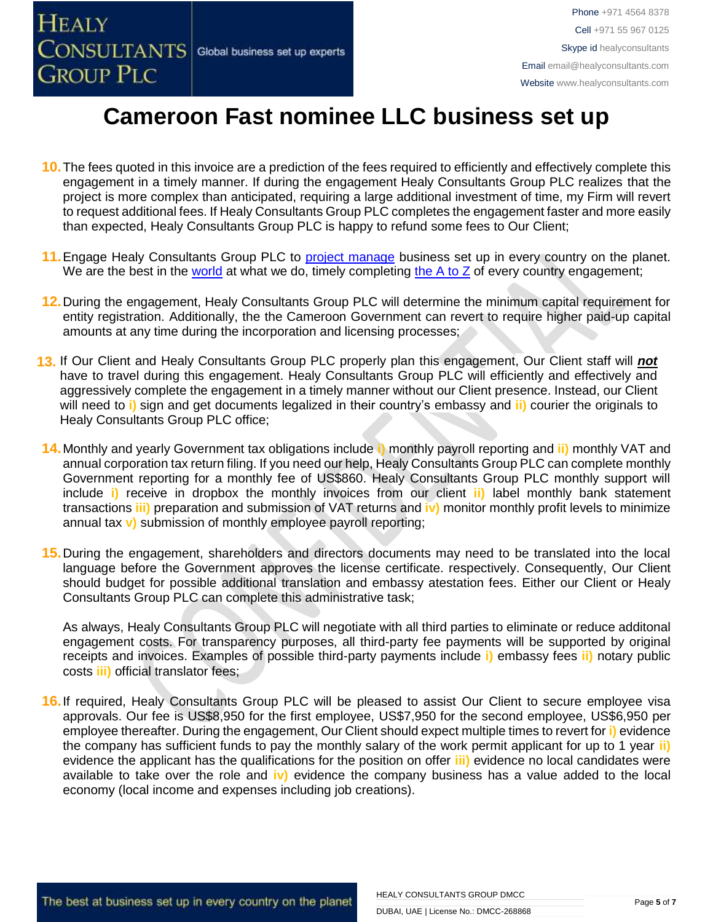

- **10.**The fees quoted in this invoice are a prediction of the fees required to efficiently and effectively complete this engagement in a timely manner. If during the engagement Healy Consultants Group PLC realizes that the project is more complex than anticipated, requiring a large additional investment of time, my Firm will revert to request additional fees. If Healy Consultants Group PLC completes the engagement faster and more easily than expected, Healy Consultants Group PLC is happy to refund some fees to Our Client;
- **11.**Engage Healy Consultants Group PLC to [project manage](http://www.healyconsultants.com/project-manage-engagements/) business set up in every country on the planet. We are the best in the [world](http://www.healyconsultants.com/best-in-the-world/) at what we do, timely completing the  $A$  to  $Z$  of every country engagement;
- **12.**During the engagement, Healy Consultants Group PLC will determine the minimum capital requirement for entity registration. Additionally, the the Cameroon Government can revert to require higher paid-up capital amounts at any time during the incorporation and licensing processes;
- **13.** If Our Client and Healy Consultants Group PLC properly plan this engagement, Our Client staff will *not* have to travel during this engagement. Healy Consultants Group PLC will efficiently and effectively and aggressively complete the engagement in a timely manner without our Client presence. Instead, our Client will need to **i)** sign and get documents legalized in their country's embassy and **ii)** courier the originals to Healy Consultants Group PLC office;
- **14.**Monthly and yearly Government tax obligations include **i)** monthly payroll reporting and **ii)** monthly VAT and annual corporation tax return filing. If you need our help, Healy Consultants Group PLC can complete monthly Government reporting for a monthly fee of US\$860. Healy Consultants Group PLC monthly support will include **i)** receive in dropbox the monthly invoices from our client **ii)** label monthly bank statement transactions **iii)** preparation and submission of VAT returns and **iv)** monitor monthly profit levels to minimize annual tax **v)** submission of monthly employee payroll reporting;
- **15.**During the engagement, shareholders and directors documents may need to be translated into the local language before the Government approves the license certificate. respectively. Consequently, Our Client should budget for possible additional translation and embassy atestation fees. Either our Client or Healy Consultants Group PLC can complete this administrative task;

As always, Healy Consultants Group PLC will negotiate with all third parties to eliminate or reduce additonal engagement costs. For transparency purposes, all third-party fee payments will be supported by original receipts and invoices. Examples of possible third-party payments include **i)** embassy fees **ii)** notary public costs **iii)** official translator fees;

**16.**If required, Healy Consultants Group PLC will be pleased to assist Our Client to secure employee visa approvals. Our fee is US\$8,950 for the first employee, US\$7,950 for the second employee, US\$6,950 per employee thereafter. During the engagement, Our Client should expect multiple times to revert for **i)** evidence the company has sufficient funds to pay the monthly salary of the work permit applicant for up to 1 year **ii)** evidence the applicant has the qualifications for the position on offer **iii)** evidence no local candidates were available to take over the role and **iv)** evidence the company business has a value added to the local economy (local income and expenses including job creations).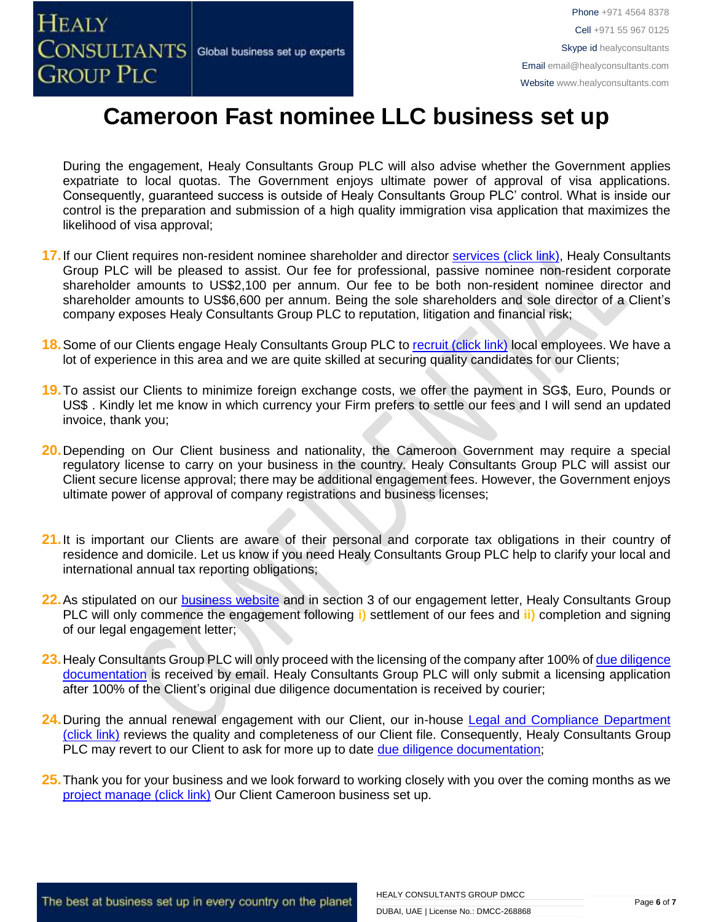

During the engagement, Healy Consultants Group PLC will also advise whether the Government applies expatriate to local quotas. The Government enjoys ultimate power of approval of visa applications. Consequently, guaranteed success is outside of Healy Consultants Group PLC' control. What is inside our control is the preparation and submission of a high quality immigration visa application that maximizes the likelihood of visa approval;

- 17. If our Client requires non-resident nominee shareholder and director services [\(click link\),](http://www.healyconsultants.com/corporate-outsourcing-services/nominee-shareholders-directors/) Healy Consultants Group PLC will be pleased to assist. Our fee for professional, passive nominee non-resident corporate shareholder amounts to US\$2,100 per annum. Our fee to be both non-resident nominee director and shareholder amounts to US\$6,600 per annum. Being the sole shareholders and sole director of a Client's company exposes Healy Consultants Group PLC to reputation, litigation and financial risk;
- **18.**Some of our Clients engage Healy Consultants Group PLC to [recruit \(click link\)](http://www.healyconsultants.com/corporate-outsourcing-services/how-we-help-our-clients-recruit-quality-employees/) local employees. We have a lot of experience in this area and we are quite skilled at securing quality candidates for our Clients;
- **19.**To assist our Clients to minimize foreign exchange costs, we offer the payment in SG\$, Euro, Pounds or US\$ . Kindly let me know in which currency your Firm prefers to settle our fees and I will send an updated invoice, thank you;
- **20.**Depending on Our Client business and nationality, the Cameroon Government may require a special regulatory license to carry on your business in the country. Healy Consultants Group PLC will assist our Client secure license approval; there may be additional engagement fees. However, the Government enjoys ultimate power of approval of company registrations and business licenses;
- **21.**It is important our Clients are aware of their personal and corporate tax obligations in their country of residence and domicile. Let us know if you need Healy Consultants Group PLC help to clarify your local and international annual tax reporting obligations;
- **22.**As stipulated on our [business website](http://www.healyconsultants.com/) and in section 3 of our engagement letter, Healy Consultants Group PLC will only commence the engagement following **i)** settlement of our fees and **ii)** completion and signing of our legal engagement letter;
- **23.**Healy Consultants Group PLC will only proceed with the licensing of the company after 100% of [due diligence](http://www.healyconsultants.com/due-diligence/)  [documentation](http://www.healyconsultants.com/due-diligence/) is received by email. Healy Consultants Group PLC will only submit a licensing application after 100% of the Client's original due diligence documentation is received by courier;
- 24. During the annual renewal engagement with our Client, our in-house Legal and Compliance Department [\(click link\)](http://www.healyconsultants.com/about-us/key-personnel/cai-xin-profile/) reviews the quality and completeness of our Client file. Consequently, Healy Consultants Group PLC may revert to our Client to ask for more up to date [due diligence documentation;](http://www.healyconsultants.com/due-diligence/)
- **25.**Thank you for your business and we look forward to working closely with you over the coming months as we [project manage \(click link\)](http://www.healyconsultants.com/about-us/why-us/a-to-z-of-business-set-up/) Our Client Cameroon business set up.